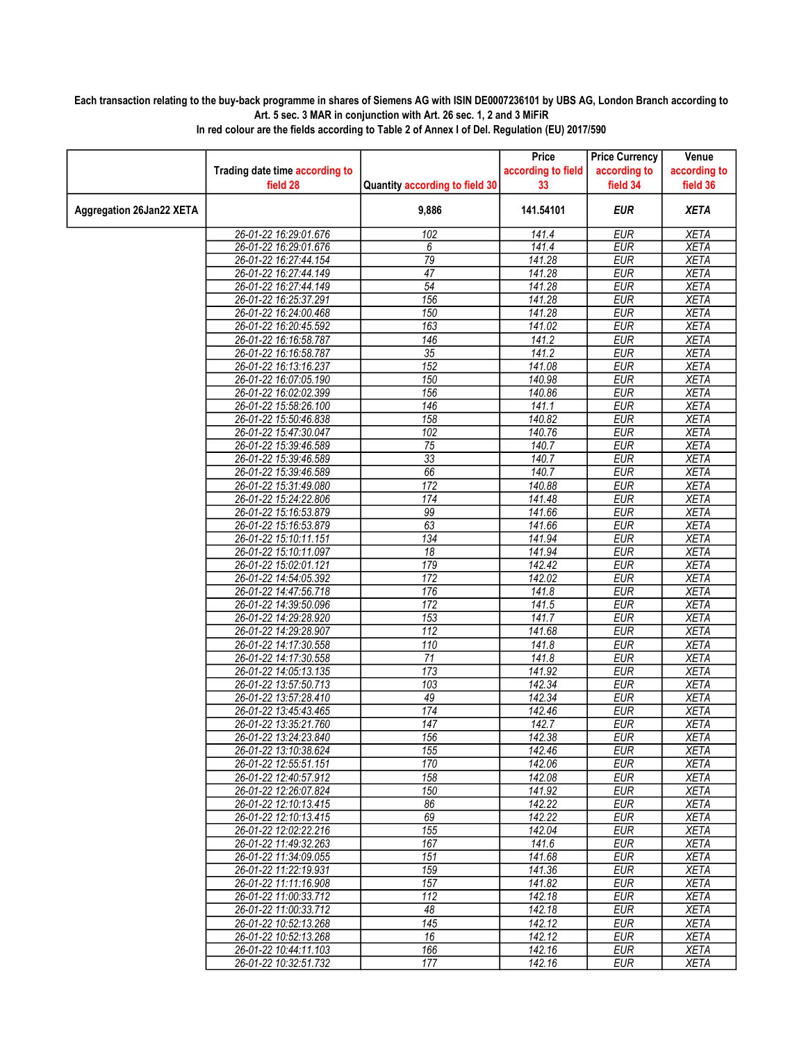## Each transaction relating to the buy-back programme in shares of Siemens AG with ISIN DE0007236101 by UBS AG, London Branch according to Art. 5 sec. 3 MAR in conjunction with Art. 26 sec. 1, 2 and 3 MiFiR

|                                 |                                |                                | Price              | <b>Price Currency</b> | Venue        |
|---------------------------------|--------------------------------|--------------------------------|--------------------|-----------------------|--------------|
|                                 | Trading date time according to |                                | according to field | according to          | according to |
|                                 | field 28                       | Quantity according to field 30 | 33                 | field 34              | field 36     |
|                                 |                                |                                |                    |                       |              |
| <b>Aggregation 26Jan22 XETA</b> |                                | 9,886                          | 141.54101          | <b>EUR</b>            | <b>XETA</b>  |
|                                 | 26-01-22 16:29:01.676          | 102                            | 141.4              | <b>EUR</b>            | <b>XETA</b>  |
|                                 | 26-01-22 16:29:01.676          | 6                              | 141.4              | <b>EUR</b>            | <b>XETA</b>  |
|                                 | 26-01-22 16:27:44.154          | 79                             | 141.28             | <b>EUR</b>            | <b>XETA</b>  |
|                                 | 26-01-22 16:27:44.149          | 47                             | 141.28             | <b>EUR</b>            | <b>XETA</b>  |
|                                 | 26-01-22 16:27:44.149          | $\overline{54}$                | 141.28             | <b>EUR</b>            | <b>XETA</b>  |
|                                 | 26-01-22 16:25:37.291          | 156                            | 141.28             | <b>EUR</b>            | <b>XETA</b>  |
|                                 | 26-01-22 16:24:00.468          | 150                            | 141.28             | <b>EUR</b>            | <b>XETA</b>  |
|                                 | 26-01-22 16:20:45.592          | 163                            | 141.02             | <b>EUR</b>            | <b>XETA</b>  |
|                                 | 26-01-22 16:16:58.787          | 146                            | 141.2              | <b>EUR</b>            | <b>XETA</b>  |
|                                 | 26-01-22 16:16:58.787          | $\overline{35}$                | 141.2              | <b>EUR</b>            | <b>XETA</b>  |
|                                 | 26-01-22 16:13:16.237          | 152                            | 141.08             | <b>EUR</b>            | <b>XETA</b>  |
|                                 | 26-01-22 16:07:05.190          | 150                            | 140.98             | <b>EUR</b>            | <b>XETA</b>  |
|                                 | 26-01-22 16:02:02.399          | 156                            | 140.86             | <b>EUR</b>            | <b>XETA</b>  |
|                                 | 26-01-22 15:58:26.100          | $\overline{146}$               | 141.1              | <b>EUR</b>            | <b>XETA</b>  |
|                                 | 26-01-22 15:50:46.838          | 158                            | 140.82             | <b>EUR</b>            | <b>XETA</b>  |
|                                 | 26-01-22 15:47:30.047          | 102                            | 140.76             | <b>EUR</b>            | <b>XETA</b>  |
|                                 | 26-01-22 15:39:46.589          | 75                             | 140.7              | <b>EUR</b>            | <b>XETA</b>  |
|                                 | 26-01-22 15:39:46.589          | $\overline{33}$                | 140.7              | <b>EUR</b>            | <b>XETA</b>  |
|                                 | 26-01-22 15:39:46.589          | 66                             | 140.7              | <b>EUR</b>            | <b>XETA</b>  |
|                                 | 26-01-22 15:31:49.080          | $\overline{172}$               | 140.88             | <b>EUR</b>            | <b>XETA</b>  |
|                                 | 26-01-22 15:24:22.806          | 174                            | 141.48             | <b>EUR</b>            | <b>XETA</b>  |
|                                 | 26-01-22 15:16:53.879          | 99                             | 141.66             | <b>EUR</b>            | <b>XETA</b>  |
|                                 | 26-01-22 15:16:53.879          | 63                             | 141.66             | <b>EUR</b>            | <b>XETA</b>  |
|                                 | 26-01-22 15:10:11.151          | 134                            | 141.94             | <b>EUR</b>            | <b>XETA</b>  |
|                                 | 26-01-22 15:10:11.097          | 18                             | 141.94             | <b>EUR</b>            | <b>XETA</b>  |
|                                 | 26-01-22 15:02:01.121          | 179                            | 142.42             | <b>EUR</b>            | <b>XETA</b>  |
|                                 | 26-01-22 14:54:05.392          | 172                            | 142.02             | <b>EUR</b>            | <b>XETA</b>  |
|                                 | 26-01-22 14:47:56.718          | 176                            | 141.8              | <b>EUR</b>            | <b>XETA</b>  |
|                                 | 26-01-22 14:39:50.096          | 172                            | 141.5              | <b>EUR</b>            | <b>XETA</b>  |
|                                 | 26-01-22 14:29:28.920          | 153                            | 141.7              | <b>EUR</b>            | <b>XETA</b>  |
|                                 | 26-01-22 14:29:28.907          | 112                            | 141.68             | <b>EUR</b>            | <b>XETA</b>  |
|                                 | 26-01-22 14:17:30.558          | 110                            | 141.8              | <b>EUR</b>            | <b>XETA</b>  |
|                                 | 26-01-22 14:17:30.558          | 71                             | 141.8              | <b>EUR</b>            | <b>XETA</b>  |
|                                 | 26-01-22 14:05:13.135          | $\overline{173}$               | 141.92             | <b>EUR</b>            | <b>XETA</b>  |
|                                 | 26-01-22 13:57:50.713          | 103                            | 142.34             | <b>EUR</b>            | <b>XETA</b>  |
|                                 | 26-01-22 13:57:28.410          | 49                             | 142.34             | <b>EUR</b>            | <b>XETA</b>  |
|                                 | 26-01-22 13:45:43.465          | 174                            | 142.46             | <b>EUR</b>            | <b>XETA</b>  |
|                                 | 26-01-22 13:35:21.760          | 147                            | 142.7              | <b>EUR</b>            | <b>XETA</b>  |
|                                 | 26-01-22 13:24:23.840          | 156                            | 142.38             | <b>EUR</b>            | <b>XETA</b>  |
|                                 | 26-01-22 13:10:38.624          | 155                            | 142.46             | <b>EUR</b>            | <b>XETA</b>  |
|                                 | 26-01-22 12:55:51.151          | 170                            | 142.06             | EUR                   | XETA         |
|                                 | 26-01-22 12:40:57.912          | 158                            | 142.08             | <b>EUR</b>            | <b>XETA</b>  |
|                                 | 26-01-22 12:26:07.824          | 150                            | 141.92             | <b>EUR</b>            | <b>XETA</b>  |
|                                 | 26-01-22 12:10:13.415          | 86                             | 142.22             | <b>EUR</b>            | <b>XETA</b>  |
|                                 | 26-01-22 12:10:13.415          | 69                             | 142.22             | <b>EUR</b>            | <b>XETA</b>  |
|                                 | 26-01-22 12:02:22.216          | 155                            | 142.04             | <b>EUR</b>            | <b>XETA</b>  |
|                                 | 26-01-22 11:49:32.263          | 167                            | 141.6              | EUR                   | XETA         |
|                                 | 26-01-22 11:34:09.055          | 151                            | 141.68             | <b>EUR</b>            | <b>XETA</b>  |
|                                 | 26-01-22 11:22:19.931          | 159                            | 141.36             | <b>EUR</b>            | <b>XETA</b>  |
|                                 | 26-01-22 11:11:16.908          | 157                            | 141.82             | <b>EUR</b>            | <b>XETA</b>  |
|                                 | 26-01-22 11:00:33.712          | $\overline{112}$               | 142.18             | <b>EUR</b>            | <b>XETA</b>  |
|                                 | 26-01-22 11:00:33.712          | 48                             | 142.18             | <b>EUR</b>            | <b>XETA</b>  |
|                                 | 26-01-22 10:52:13.268          | 145                            | 142.12             | EUR                   | <b>XETA</b>  |
|                                 | 26-01-22 10:52:13.268          | 16                             | $\frac{1}{142.12}$ | <b>EUR</b>            | <b>XETA</b>  |
|                                 | 26-01-22 10:44:11.103          | 166                            | 142.16             | <b>EUR</b>            | <b>XETA</b>  |
|                                 | 26-01-22 10:32:51.732          | 177                            |                    |                       |              |
|                                 |                                |                                | 142.16             | <b>EUR</b>            | <b>XETA</b>  |

In red colour are the fields according to Table 2 of Annex I of Del. Regulation (EU) 2017/590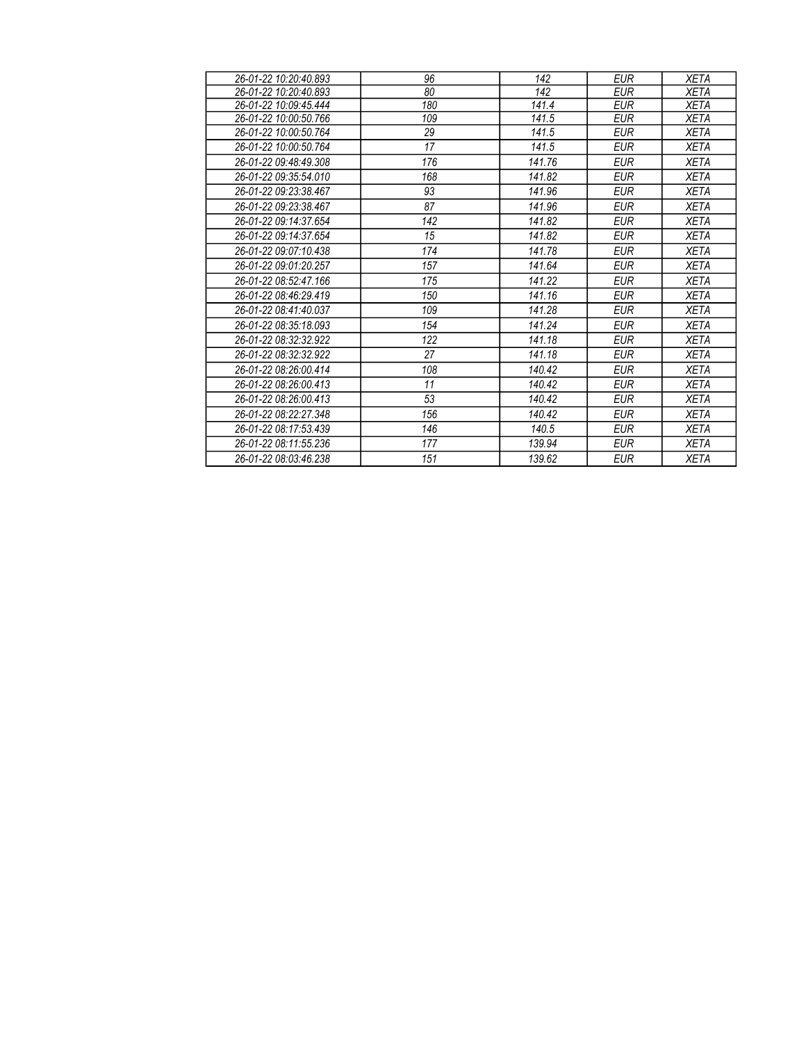| 26-01-22 10:20:40.893 | 96  | 142    | <b>EUR</b> | <b>XETA</b> |
|-----------------------|-----|--------|------------|-------------|
| 26-01-22 10:20:40.893 | 80  | 142    | <b>EUR</b> | <b>XETA</b> |
| 26-01-22 10:09:45.444 | 180 | 141.4  | EUR        | <b>XETA</b> |
| 26-01-22 10:00:50.766 | 109 | 141.5  | <b>EUR</b> | <b>XETA</b> |
| 26-01-22 10:00:50.764 | 29  | 141.5  | EUR        | <b>XETA</b> |
| 26-01-22 10:00:50.764 | 17  | 141.5  | EUR        | <b>XETA</b> |
| 26-01-22 09:48:49.308 | 176 | 141.76 | <b>EUR</b> | <b>XETA</b> |
| 26-01-22 09:35:54.010 | 168 | 141.82 | <b>EUR</b> | <b>XETA</b> |
| 26-01-22 09:23:38.467 | 93  | 141.96 | <b>EUR</b> | <b>XETA</b> |
| 26-01-22 09:23:38.467 | 87  | 141.96 | <b>EUR</b> | <b>XETA</b> |
| 26-01-22 09:14:37.654 | 142 | 141.82 | <b>EUR</b> | <b>XETA</b> |
| 26-01-22 09:14:37.654 | 15  | 141.82 | <b>EUR</b> | <b>XETA</b> |
| 26-01-22 09:07:10.438 | 174 | 141.78 | <b>EUR</b> | <b>XETA</b> |
| 26-01-22 09:01:20.257 | 157 | 141.64 | <b>EUR</b> | <b>XETA</b> |
| 26-01-22 08:52:47.166 | 175 | 141.22 | <b>EUR</b> | <b>XETA</b> |
| 26-01-22 08:46:29.419 | 150 | 141.16 | <b>EUR</b> | <b>XETA</b> |
| 26-01-22 08:41:40.037 | 109 | 141.28 | <b>EUR</b> | <b>XETA</b> |
| 26-01-22 08:35:18.093 | 154 | 141.24 | <b>EUR</b> | <b>XETA</b> |
| 26-01-22 08:32:32.922 | 122 | 141.18 | <b>EUR</b> | <b>XETA</b> |
| 26-01-22 08:32:32.922 | 27  | 141.18 | <b>EUR</b> | <b>XETA</b> |
| 26-01-22 08:26:00.414 | 108 | 140.42 | <b>EUR</b> | <b>XETA</b> |
| 26-01-22 08:26:00.413 | 11  | 140.42 | <b>EUR</b> | <b>XETA</b> |
| 26-01-22 08:26:00.413 | 53  | 140.42 | <b>EUR</b> | <b>XETA</b> |
| 26-01-22 08:22:27.348 | 156 | 140.42 | <b>EUR</b> | <b>XETA</b> |
| 26-01-22 08:17:53.439 | 146 | 140.5  | <b>EUR</b> | <b>XETA</b> |
| 26-01-22 08:11:55.236 | 177 | 139.94 | <b>EUR</b> | <b>XETA</b> |
| 26-01-22 08:03:46.238 | 151 | 139.62 | <b>EUR</b> | XETA        |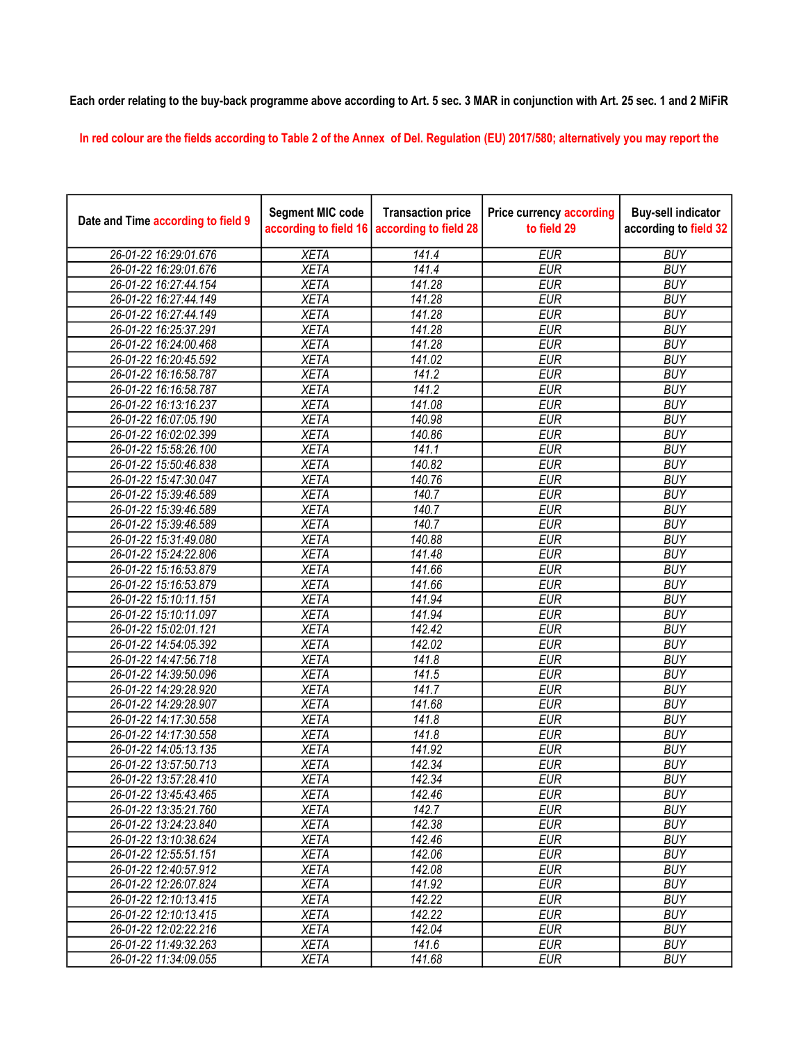## Each order relating to the buy-back programme above according to Art. 5 sec. 3 MAR in conjunction with Art. 25 sec. 1 and 2 MiFiR

In red colour are the fields according to Table 2 of the Annex of Del. Regulation (EU) 2017/580; alternatively you may report the

| Date and Time according to field 9 | <b>Segment MIC code</b><br>according to field 16 | <b>Transaction price</b><br>according to field 28 | <b>Price currency according</b><br>to field 29 | <b>Buy-sell indicator</b><br>according to field 32 |
|------------------------------------|--------------------------------------------------|---------------------------------------------------|------------------------------------------------|----------------------------------------------------|
| 26-01-22 16:29:01.676              | <b>XETA</b>                                      | 141.4                                             | <b>EUR</b>                                     | <b>BUY</b>                                         |
| 26-01-22 16:29:01.676              | <b>XETA</b>                                      | 141.4                                             | <b>EUR</b>                                     | <b>BUY</b>                                         |
| 26-01-22 16:27:44.154              | <b>XETA</b>                                      | 141.28                                            | <b>EUR</b>                                     | <b>BUY</b>                                         |
| 26-01-22 16:27:44.149              | <b>XETA</b>                                      | 141.28                                            | <b>EUR</b>                                     | <b>BUY</b>                                         |
| 26-01-22 16:27:44.149              | <b>XETA</b>                                      | 141.28                                            | <b>EUR</b>                                     | <b>BUY</b>                                         |
| 26-01-22 16:25:37.291              | <b>XETA</b>                                      | 141.28                                            | <b>EUR</b>                                     | <b>BUY</b>                                         |
| 26-01-22 16:24:00.468              | <b>XETA</b>                                      | 141.28                                            | <b>EUR</b>                                     | <b>BUY</b>                                         |
| 26-01-22 16:20:45.592              | <b>XETA</b>                                      | 141.02                                            | <b>EUR</b>                                     | <b>BUY</b>                                         |
| 26-01-22 16:16:58.787              | <b>XETA</b>                                      | 141.2                                             | <b>EUR</b>                                     | <b>BUY</b>                                         |
| 26-01-22 16:16:58.787              | <b>XETA</b>                                      | 141.2                                             | <b>EUR</b>                                     | <b>BUY</b>                                         |
| 26-01-22 16:13:16.237              | <b>XETA</b>                                      | 141.08                                            | <b>EUR</b>                                     | <b>BUY</b>                                         |
| 26-01-22 16:07:05.190              | <b>XETA</b>                                      | 140.98                                            | <b>EUR</b>                                     | <b>BUY</b>                                         |
| 26-01-22 16:02:02.399              | <b>XETA</b>                                      | 140.86                                            | <b>EUR</b>                                     | <b>BUY</b>                                         |
| 26-01-22 15:58:26.100              | <b>XETA</b>                                      | 141.1                                             | <b>EUR</b>                                     | <b>BUY</b>                                         |
| 26-01-22 15:50:46.838              | <b>XETA</b>                                      | 140.82                                            | <b>EUR</b>                                     | <b>BUY</b>                                         |
| 26-01-22 15:47:30.047              | <b>XETA</b>                                      | 140.76                                            | <b>EUR</b>                                     | <b>BUY</b>                                         |
| 26-01-22 15:39:46.589              | <b>XETA</b>                                      | 140.7                                             | <b>EUR</b>                                     | <b>BUY</b>                                         |
| 26-01-22 15:39:46.589              | <b>XETA</b>                                      | 140.7                                             | <b>EUR</b>                                     | <b>BUY</b>                                         |
| 26-01-22 15:39:46.589              | <b>XETA</b>                                      | 140.7                                             | <b>EUR</b>                                     | <b>BUY</b>                                         |
| 26-01-22 15:31:49.080              | <b>XETA</b>                                      | 140.88                                            | <b>EUR</b>                                     | <b>BUY</b>                                         |
| 26-01-22 15:24:22.806              | <b>XETA</b>                                      | 141.48                                            | <b>EUR</b>                                     | <b>BUY</b>                                         |
| 26-01-22 15:16:53.879              | <b>XETA</b>                                      | 141.66                                            | <b>EUR</b>                                     | <b>BUY</b>                                         |
| 26-01-22 15:16:53.879              | <b>XETA</b>                                      | 141.66                                            | <b>EUR</b>                                     | <b>BUY</b>                                         |
| 26-01-22 15:10:11.151              | <b>XETA</b>                                      | 141.94                                            | <b>EUR</b>                                     | <b>BUY</b>                                         |
| 26-01-22 15:10:11.097              | <b>XETA</b>                                      | 141.94                                            | <b>EUR</b>                                     | <b>BUY</b>                                         |
| 26-01-22 15:02:01.121              | <b>XETA</b>                                      | 142.42                                            | <b>EUR</b>                                     | <b>BUY</b>                                         |
| 26-01-22 14:54:05.392              | <b>XETA</b>                                      | 142.02                                            | <b>EUR</b>                                     | <b>BUY</b>                                         |
| 26-01-22 14:47:56.718              | <b>XETA</b>                                      | 141.8                                             | <b>EUR</b>                                     | <b>BUY</b>                                         |
| 26-01-22 14:39:50.096              | <b>XETA</b>                                      | 141.5                                             | <b>EUR</b>                                     | <b>BUY</b>                                         |
| 26-01-22 14:29:28.920              | <b>XETA</b>                                      | 141.7                                             | <b>EUR</b>                                     | <b>BUY</b>                                         |
| 26-01-22 14:29:28.907              | <b>XETA</b>                                      | 141.68                                            | <b>EUR</b>                                     | <b>BUY</b>                                         |
| 26-01-22 14:17:30.558              | <b>XETA</b>                                      | 141.8                                             | <b>EUR</b>                                     | <b>BUY</b>                                         |
| 26-01-22 14:17:30.558              | <b>XETA</b>                                      | 141.8                                             | <b>EUR</b>                                     | <b>BUY</b>                                         |
| 26-01-22 14:05:13.135              | <b>XETA</b>                                      | 141.92                                            | <b>EUR</b>                                     | <b>BUY</b>                                         |
| 26-01-22 13:57:50.713              | <b>XETA</b>                                      | 142.34                                            | <b>EUR</b>                                     | <b>BUY</b>                                         |
| 26-01-22 13:57:28.410              | <b>XETA</b>                                      | 142.34                                            | <b>EUR</b>                                     | <b>BUY</b>                                         |
| 26-01-22 13:45:43.465              | <b>XETA</b>                                      | 142.46                                            | <b>EUR</b>                                     | <b>BUY</b>                                         |
| 26-01-22 13:35:21.760              | <b>XETA</b>                                      | 142.7                                             | <b>EUR</b>                                     | <b>BUY</b>                                         |
| 26-01-22 13:24:23.840              | <b>XETA</b>                                      | 142.38                                            | <b>EUR</b>                                     | <b>BUY</b>                                         |
| 26-01-22 13:10:38.624              | <b>XETA</b>                                      | 142.46                                            | <b>EUR</b>                                     | <b>BUY</b>                                         |
| 26-01-22 12:55:51.151              | <b>XETA</b>                                      | 142.06                                            | <b>EUR</b>                                     | <b>BUY</b>                                         |
| 26-01-22 12:40:57.912              | <b>XETA</b>                                      | 142.08                                            | <b>EUR</b>                                     | <b>BUY</b>                                         |
| 26-01-22 12:26:07.824              | <b>XETA</b>                                      | 141.92                                            | <b>EUR</b>                                     | <b>BUY</b>                                         |
| 26-01-22 12:10:13.415              | <b>XETA</b>                                      | 142.22                                            | <b>EUR</b>                                     | <b>BUY</b>                                         |
| 26-01-22 12:10:13.415              | <b>XETA</b>                                      | 142.22                                            | <b>EUR</b>                                     | <b>BUY</b>                                         |
| 26-01-22 12:02:22.216              | <b>XETA</b>                                      | 142.04                                            | <b>EUR</b>                                     | <b>BUY</b>                                         |
| 26-01-22 11:49:32.263              | <b>XETA</b>                                      | 141.6                                             | <b>EUR</b>                                     | <b>BUY</b>                                         |
| 26-01-22 11:34:09.055              | <b>XETA</b>                                      | 141.68                                            | <b>EUR</b>                                     | <b>BUY</b>                                         |